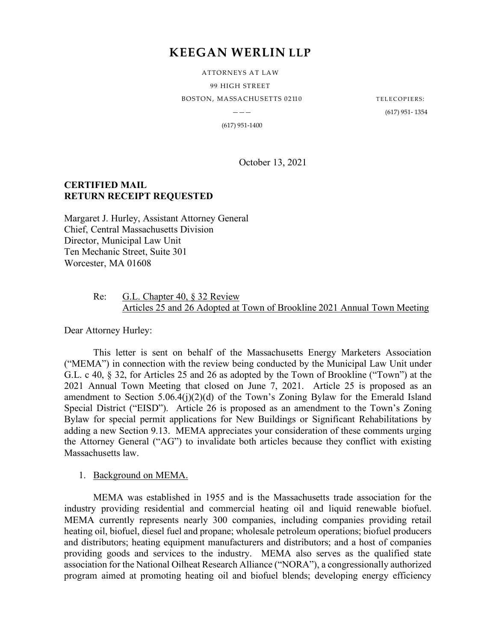# **KEEGAN WERLIN LLP**

ATTORNEYS AT LAW 99 HIGH STREET BOSTON, MASSACHUSETTS 02110 TELECOPIERS:

——— (617) 951- 1354

(617) 951-1400

October 13, 2021

# **CERTIFIED MAIL RETURN RECEIPT REQUESTED**

Margaret J. Hurley, Assistant Attorney General Chief, Central Massachusetts Division Director, Municipal Law Unit Ten Mechanic Street, Suite 301 Worcester, MA 01608

#### Re: G.L. Chapter 40, § 32 Review Articles 25 and 26 Adopted at Town of Brookline 2021 Annual Town Meeting

Dear Attorney Hurley:

This letter is sent on behalf of the Massachusetts Energy Marketers Association ("MEMA") in connection with the review being conducted by the Municipal Law Unit under G.L. c 40, § 32, for Articles 25 and 26 as adopted by the Town of Brookline ("Town") at the 2021 Annual Town Meeting that closed on June 7, 2021. Article 25 is proposed as an amendment to Section 5.06.4(j)(2)(d) of the Town's Zoning Bylaw for the Emerald Island Special District ("EISD"). Article 26 is proposed as an amendment to the Town's Zoning Bylaw for special permit applications for New Buildings or Significant Rehabilitations by adding a new Section 9.13. MEMA appreciates your consideration of these comments urging the Attorney General ("AG") to invalidate both articles because they conflict with existing Massachusetts law.

1. Background on MEMA.

MEMA was established in 1955 and is the Massachusetts trade association for the industry providing residential and commercial heating oil and liquid renewable biofuel. MEMA currently represents nearly 300 companies, including companies providing retail heating oil, biofuel, diesel fuel and propane; wholesale petroleum operations; biofuel producers and distributors; heating equipment manufacturers and distributors; and a host of companies providing goods and services to the industry. MEMA also serves as the qualified state association for the National Oilheat Research Alliance ("NORA"), a congressionally authorized program aimed at promoting heating oil and biofuel blends; developing energy efficiency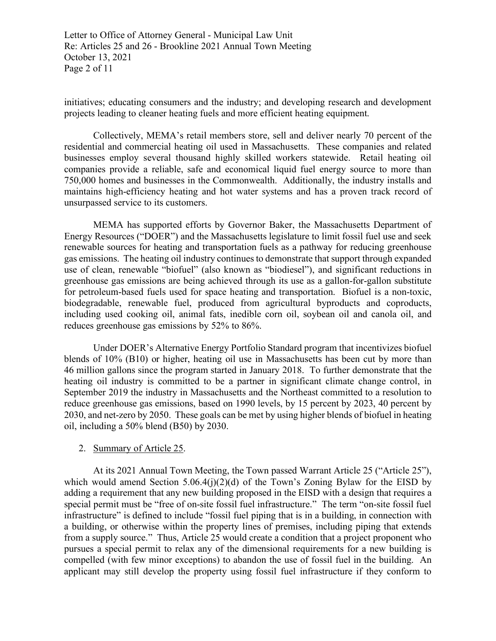Letter to Office of Attorney General - Municipal Law Unit Re: Articles 25 and 26 - Brookline 2021 Annual Town Meeting October 13, 2021 Page 2 of 11

initiatives; educating consumers and the industry; and developing research and development projects leading to cleaner heating fuels and more efficient heating equipment.

Collectively, MEMA's retail members store, sell and deliver nearly 70 percent of the residential and commercial heating oil used in Massachusetts. These companies and related businesses employ several thousand highly skilled workers statewide. Retail heating oil companies provide a reliable, safe and economical liquid fuel energy source to more than 750,000 homes and businesses in the Commonwealth. Additionally, the industry installs and maintains high-efficiency heating and hot water systems and has a proven track record of unsurpassed service to its customers.

MEMA has supported efforts by Governor Baker, the Massachusetts Department of Energy Resources ("DOER") and the Massachusetts legislature to limit fossil fuel use and seek renewable sources for heating and transportation fuels as a pathway for reducing greenhouse gas emissions. The heating oil industry continues to demonstrate that support through expanded use of clean, renewable "biofuel" (also known as "biodiesel"), and significant reductions in greenhouse gas emissions are being achieved through its use as a gallon-for-gallon substitute for petroleum-based fuels used for space heating and transportation. Biofuel is a non-toxic, biodegradable, renewable fuel, produced from agricultural byproducts and coproducts, including used cooking oil, animal fats, inedible corn oil, soybean oil and canola oil, and reduces greenhouse gas emissions by 52% to 86%.

Under DOER's Alternative Energy Portfolio Standard program that incentivizes biofuel blends of 10% (B10) or higher, heating oil use in Massachusetts has been cut by more than 46 million gallons since the program started in January 2018. To further demonstrate that the heating oil industry is committed to be a partner in significant climate change control, in September 2019 the industry in Massachusetts and the Northeast committed to a resolution to reduce greenhouse gas emissions, based on 1990 levels, by 15 percent by 2023, 40 percent by 2030, and net-zero by 2050. These goals can be met by using higher blends of biofuel in heating oil, including a 50% blend (B50) by 2030.

## 2. Summary of Article 25.

At its 2021 Annual Town Meeting, the Town passed Warrant Article 25 ("Article 25"), which would amend Section  $5.06.4(i)(2)(d)$  of the Town's Zoning Bylaw for the EISD by adding a requirement that any new building proposed in the EISD with a design that requires a special permit must be "free of on-site fossil fuel infrastructure." The term "on-site fossil fuel infrastructure" is defined to include "fossil fuel piping that is in a building, in connection with a building, or otherwise within the property lines of premises, including piping that extends from a supply source." Thus, Article 25 would create a condition that a project proponent who pursues a special permit to relax any of the dimensional requirements for a new building is compelled (with few minor exceptions) to abandon the use of fossil fuel in the building. An applicant may still develop the property using fossil fuel infrastructure if they conform to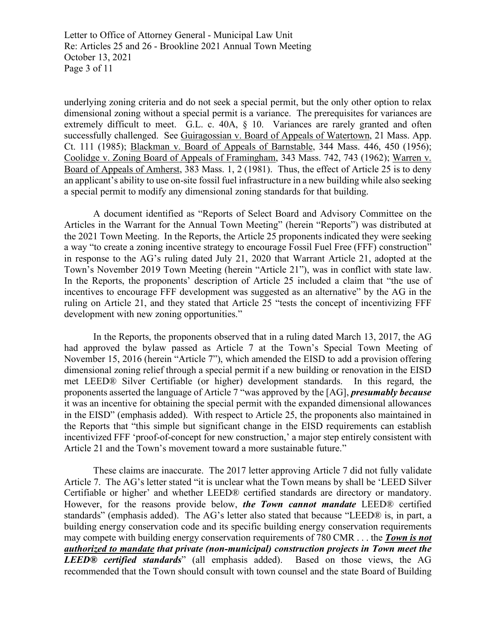Letter to Office of Attorney General - Municipal Law Unit Re: Articles 25 and 26 - Brookline 2021 Annual Town Meeting October 13, 2021 Page 3 of 11

underlying zoning criteria and do not seek a special permit, but the only other option to relax dimensional zoning without a special permit is a variance. The prerequisites for variances are extremely difficult to meet. G.L. c. 40A, § 10. Variances are rarely granted and often successfully challenged. See Guiragossian v. Board of Appeals of Watertown, 21 Mass. App. Ct. 111 (1985); Blackman v. Board of Appeals of Barnstable, 344 Mass. 446, 450 (1956); Coolidge v. Zoning Board of Appeals of Framingham, 343 Mass. 742, 743 (1962); Warren v. Board of Appeals of Amherst, 383 Mass. 1, 2 (1981). Thus, the effect of Article 25 is to deny an applicant's ability to use on-site fossil fuel infrastructure in a new building while also seeking a special permit to modify any dimensional zoning standards for that building.

A document identified as "Reports of Select Board and Advisory Committee on the Articles in the Warrant for the Annual Town Meeting" (herein "Reports") was distributed at the 2021 Town Meeting. In the Reports, the Article 25 proponents indicated they were seeking a way "to create a zoning incentive strategy to encourage Fossil Fuel Free (FFF) construction" in response to the AG's ruling dated July 21, 2020 that Warrant Article 21, adopted at the Town's November 2019 Town Meeting (herein "Article 21"), was in conflict with state law. In the Reports, the proponents' description of Article 25 included a claim that "the use of incentives to encourage FFF development was suggested as an alternative" by the AG in the ruling on Article 21, and they stated that Article 25 "tests the concept of incentivizing FFF development with new zoning opportunities."

In the Reports, the proponents observed that in a ruling dated March 13, 2017, the AG had approved the bylaw passed as Article 7 at the Town's Special Town Meeting of November 15, 2016 (herein "Article 7"), which amended the EISD to add a provision offering dimensional zoning relief through a special permit if a new building or renovation in the EISD met LEED® Silver Certifiable (or higher) development standards. In this regard, the proponents asserted the language of Article 7 "was approved by the [AG], *presumably because* it was an incentive for obtaining the special permit with the expanded dimensional allowances in the EISD" (emphasis added). With respect to Article 25, the proponents also maintained in the Reports that "this simple but significant change in the EISD requirements can establish incentivized FFF 'proof-of-concept for new construction,' a major step entirely consistent with Article 21 and the Town's movement toward a more sustainable future."

These claims are inaccurate. The 2017 letter approving Article 7 did not fully validate Article 7. The AG's letter stated "it is unclear what the Town means by shall be 'LEED Silver Certifiable or higher' and whether LEED® certified standards are directory or mandatory. However, for the reasons provide below, *the Town cannot mandate* LEED® certified standards" (emphasis added). The AG's letter also stated that because "LEED® is, in part, a building energy conservation code and its specific building energy conservation requirements may compete with building energy conservation requirements of 780 CMR . . . the *Town is not authorized to mandate that private (non-municipal) construction projects in Town meet the LEED® certified standards*" (all emphasis added). Based on those views, the AG recommended that the Town should consult with town counsel and the state Board of Building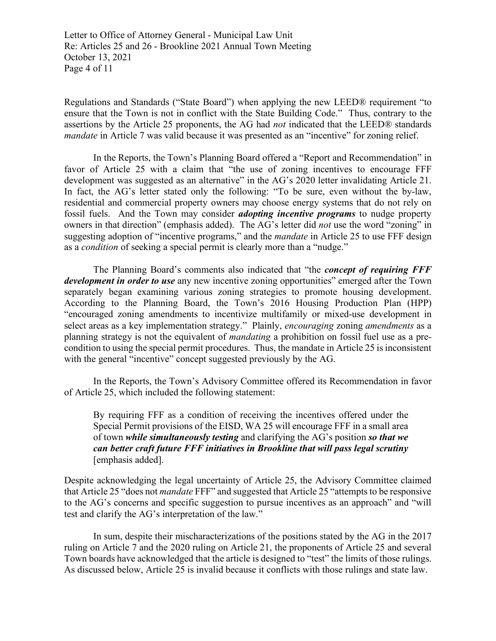Letter to Office of Attorney General - Municipal Law Unit Re: Articles 25 and 26 - Brookline 2021 Annual Town Meeting October 13, 2021 Page 4 of 11

Regulations and Standards ("State Board") when applying the new LEED® requirement "to ensure that the Town is not in conflict with the State Building Code." Thus, contrary to the assertions by the Article 25 proponents, the AG had *not* indicated that the LEED® standards *mandate* in Article 7 was valid because it was presented as an "incentive" for zoning relief.

In the Reports, the Town's Planning Board offered a "Report and Recommendation" in favor of Article 25 with a claim that "the use of zoning incentives to encourage FFF development was suggested as an alternative" in the AG's 2020 letter invalidating Article 21. In fact, the AG's letter stated only the following: "To be sure, even without the by-law, residential and commercial property owners may choose energy systems that do not rely on fossil fuels. And the Town may consider *adopting incentive programs* to nudge property owners in that direction" (emphasis added). The AG's letter did *not* use the word "zoning" in suggesting adoption of "incentive programs," and the *mandate* in Article 25 to use FFF design as a *condition* of seeking a special permit is clearly more than a "nudge."

The Planning Board's comments also indicated that "the *concept of requiring FFF development in order to use* any new incentive zoning opportunities" emerged after the Town separately began examining various zoning strategies to promote housing development. According to the Planning Board, the Town's 2016 Housing Production Plan (HPP) "encouraged zoning amendments to incentivize multifamily or mixed-use development in select areas as a key implementation strategy." Plainly, *encouraging* zoning *amendments* as a planning strategy is not the equivalent of *mandating* a prohibition on fossil fuel use as a precondition to using the special permit procedures. Thus, the mandate in Article 25 is inconsistent with the general "incentive" concept suggested previously by the AG.

In the Reports, the Town's Advisory Committee offered its Recommendation in favor of Article 25, which included the following statement:

By requiring FFF as a condition of receiving the incentives offered under the Special Permit provisions of the EISD, WA 25 will encourage FFF in a small area of town *while simultaneously testing* and clarifying the AG's position *so that we can better craft future FFF initiatives in Brookline that will pass legal scrutiny* [emphasis added].

Despite acknowledging the legal uncertainty of Article 25, the Advisory Committee claimed that Article 25 "does not *mandate* FFF" and suggested that Article 25 "attempts to be responsive to the AG's concerns and specific suggestion to pursue incentives as an approach" and "will test and clarify the AG's interpretation of the law."

In sum, despite their mischaracterizations of the positions stated by the AG in the 2017 ruling on Article 7 and the 2020 ruling on Article 21, the proponents of Article 25 and several Town boards have acknowledged that the article is designed to "test" the limits of those rulings. As discussed below, Article 25 is invalid because it conflicts with those rulings and state law.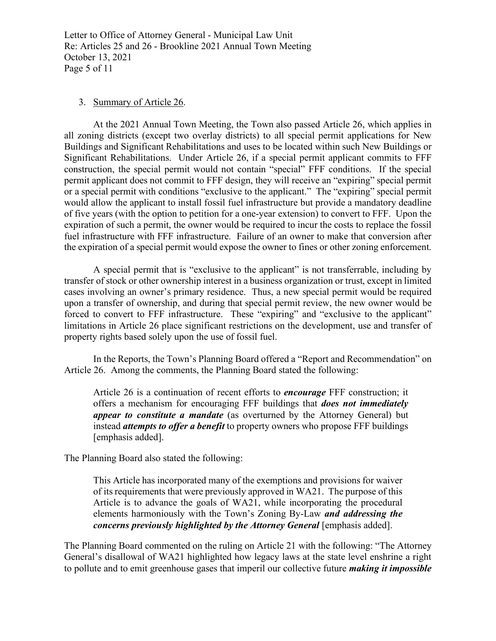Letter to Office of Attorney General - Municipal Law Unit Re: Articles 25 and 26 - Brookline 2021 Annual Town Meeting October 13, 2021 Page 5 of 11

# 3. Summary of Article 26.

At the 2021 Annual Town Meeting, the Town also passed Article 26, which applies in all zoning districts (except two overlay districts) to all special permit applications for New Buildings and Significant Rehabilitations and uses to be located within such New Buildings or Significant Rehabilitations. Under Article 26, if a special permit applicant commits to FFF construction, the special permit would not contain "special" FFF conditions. If the special permit applicant does not commit to FFF design, they will receive an "expiring" special permit or a special permit with conditions "exclusive to the applicant." The "expiring" special permit would allow the applicant to install fossil fuel infrastructure but provide a mandatory deadline of five years (with the option to petition for a one-year extension) to convert to FFF. Upon the expiration of such a permit, the owner would be required to incur the costs to replace the fossil fuel infrastructure with FFF infrastructure. Failure of an owner to make that conversion after the expiration of a special permit would expose the owner to fines or other zoning enforcement.

A special permit that is "exclusive to the applicant" is not transferrable, including by transfer of stock or other ownership interest in a business organization or trust, except in limited cases involving an owner's primary residence. Thus, a new special permit would be required upon a transfer of ownership, and during that special permit review, the new owner would be forced to convert to FFF infrastructure. These "expiring" and "exclusive to the applicant" limitations in Article 26 place significant restrictions on the development, use and transfer of property rights based solely upon the use of fossil fuel.

In the Reports, the Town's Planning Board offered a "Report and Recommendation" on Article 26. Among the comments, the Planning Board stated the following:

Article 26 is a continuation of recent efforts to *encourage* FFF construction; it offers a mechanism for encouraging FFF buildings that *does not immediately appear to constitute a mandate* (as overturned by the Attorney General) but instead *attempts to offer a benefit* to property owners who propose FFF buildings [emphasis added].

The Planning Board also stated the following:

This Article has incorporated many of the exemptions and provisions for waiver of its requirements that were previously approved in WA21. The purpose of this Article is to advance the goals of WA21, while incorporating the procedural elements harmoniously with the Town's Zoning By-Law *and addressing the concerns previously highlighted by the Attorney General* [emphasis added].

The Planning Board commented on the ruling on Article 21 with the following: "The Attorney General's disallowal of WA21 highlighted how legacy laws at the state level enshrine a right to pollute and to emit greenhouse gases that imperil our collective future *making it impossible*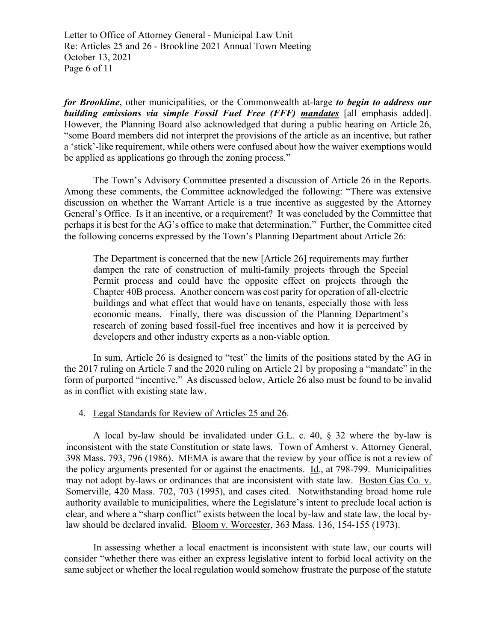Letter to Office of Attorney General - Municipal Law Unit Re: Articles 25 and 26 - Brookline 2021 Annual Town Meeting October 13, 2021 Page 6 of 11

*for Brookline*, other municipalities, or the Commonwealth at-large *to begin to address our building emissions via simple Fossil Fuel Free (FFF) mandates* [all emphasis added]. However, the Planning Board also acknowledged that during a public hearing on Article 26, "some Board members did not interpret the provisions of the article as an incentive, but rather a 'stick'-like requirement, while others were confused about how the waiver exemptions would be applied as applications go through the zoning process."

The Town's Advisory Committee presented a discussion of Article 26 in the Reports. Among these comments, the Committee acknowledged the following: "There was extensive discussion on whether the Warrant Article is a true incentive as suggested by the Attorney General's Office. Is it an incentive, or a requirement? It was concluded by the Committee that perhaps it is best for the AG's office to make that determination." Further, the Committee cited the following concerns expressed by the Town's Planning Department about Article 26:

The Department is concerned that the new [Article 26] requirements may further dampen the rate of construction of multi-family projects through the Special Permit process and could have the opposite effect on projects through the Chapter 40B process. Another concern was cost parity for operation of all-electric buildings and what effect that would have on tenants, especially those with less economic means. Finally, there was discussion of the Planning Department's research of zoning based fossil-fuel free incentives and how it is perceived by developers and other industry experts as a non-viable option.

In sum, Article 26 is designed to "test" the limits of the positions stated by the AG in the 2017 ruling on Article 7 and the 2020 ruling on Article 21 by proposing a "mandate" in the form of purported "incentive." As discussed below, Article 26 also must be found to be invalid as in conflict with existing state law.

#### 4. Legal Standards for Review of Articles 25 and 26.

A local by-law should be invalidated under G.L. c. 40, § 32 where the by-law is inconsistent with the state Constitution or state laws. Town of Amherst v. Attorney General, 398 Mass. 793, 796 (1986). MEMA is aware that the review by your office is not a review of the policy arguments presented for or against the enactments. Id., at 798-799. Municipalities may not adopt by-laws or ordinances that are inconsistent with state law. Boston Gas Co. v. Somerville, 420 Mass. 702, 703 (1995), and cases cited. Notwithstanding broad home rule authority available to municipalities, where the Legislature's intent to preclude local action is clear, and where a "sharp conflict" exists between the local by-law and state law, the local bylaw should be declared invalid. Bloom v. Worcester, 363 Mass. 136, 154-155 (1973).

In assessing whether a local enactment is inconsistent with state law, our courts will consider "whether there was either an express legislative intent to forbid local activity on the same subject or whether the local regulation would somehow frustrate the purpose of the statute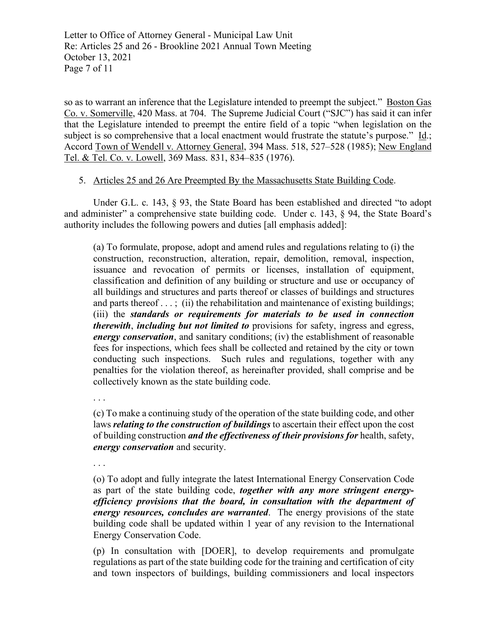Letter to Office of Attorney General - Municipal Law Unit Re: Articles 25 and 26 - Brookline 2021 Annual Town Meeting October 13, 2021 Page 7 of 11

so as to warrant an inference that the Legislature intended to preempt the subject." Boston Gas Co. v. Somerville, 420 Mass. at 704. The Supreme Judicial Court ("SJC") has said it can infer that the Legislature intended to preempt the entire field of a topic "when legislation on the subject is so comprehensive that a local enactment would frustrate the statute's purpose." Id.; Accord Town of Wendell v. Attorney General, 394 Mass. 518, 527–528 (1985); New England Tel. & Tel. Co. v. Lowell, 369 Mass. 831, 834–835 (1976).

## 5. Articles 25 and 26 Are Preempted By the Massachusetts State Building Code.

Under G.L. c. 143, § 93, the State Board has been established and directed "to adopt and administer" a comprehensive state building code. Under c. 143, § 94, the State Board's authority includes the following powers and duties [all emphasis added]:

(a) To formulate, propose, adopt and amend rules and regulations relating to (i) the construction, reconstruction, alteration, repair, demolition, removal, inspection, issuance and revocation of permits or licenses, installation of equipment, classification and definition of any building or structure and use or occupancy of all buildings and structures and parts thereof or classes of buildings and structures and parts thereof  $\dots$ ; (ii) the rehabilitation and maintenance of existing buildings; (iii) the *standards or requirements for materials to be used in connection therewith*, *including but not limited to* provisions for safety, ingress and egress, *energy conservation*, and sanitary conditions; (iv) the establishment of reasonable fees for inspections, which fees shall be collected and retained by the city or town conducting such inspections. Such rules and regulations, together with any penalties for the violation thereof, as hereinafter provided, shall comprise and be collectively known as the state building code.

. . .

(c) To make a continuing study of the operation of the state building code, and other laws *relating to the construction of buildings* to ascertain their effect upon the cost of building construction *and the effectiveness of their provisions for* health, safety, *energy conservation* and security.

. . .

(o) To adopt and fully integrate the latest International Energy Conservation Code as part of the state building code, *together with any more stringent energyefficiency provisions that the board, in consultation with the department of energy resources, concludes are warranted*. The energy provisions of the state building code shall be updated within 1 year of any revision to the International Energy Conservation Code.

(p) In consultation with [DOER], to develop requirements and promulgate regulations as part of the state building code for the training and certification of city and town inspectors of buildings, building commissioners and local inspectors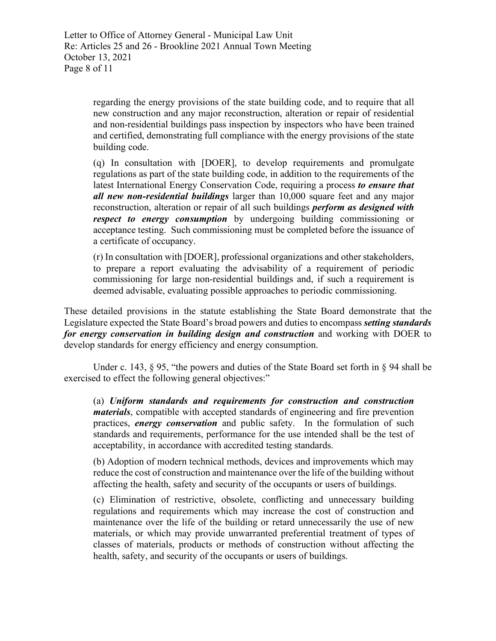Letter to Office of Attorney General - Municipal Law Unit Re: Articles 25 and 26 - Brookline 2021 Annual Town Meeting October 13, 2021 Page 8 of 11

> regarding the energy provisions of the state building code, and to require that all new construction and any major reconstruction, alteration or repair of residential and non-residential buildings pass inspection by inspectors who have been trained and certified, demonstrating full compliance with the energy provisions of the state building code.

> (q) In consultation with [DOER], to develop requirements and promulgate regulations as part of the state building code, in addition to the requirements of the latest International Energy Conservation Code, requiring a process *to ensure that all new non-residential buildings* larger than 10,000 square feet and any major reconstruction, alteration or repair of all such buildings *perform as designed with respect to energy consumption* by undergoing building commissioning or acceptance testing. Such commissioning must be completed before the issuance of a certificate of occupancy.

> (r) In consultation with [DOER], professional organizations and other stakeholders, to prepare a report evaluating the advisability of a requirement of periodic commissioning for large non-residential buildings and, if such a requirement is deemed advisable, evaluating possible approaches to periodic commissioning.

These detailed provisions in the statute establishing the State Board demonstrate that the Legislature expected the State Board's broad powers and duties to encompass *setting standards for energy conservation in building design and construction* and working with DOER to develop standards for energy efficiency and energy consumption.

Under c. 143,  $\S$  95, "the powers and duties of the State Board set forth in  $\S$  94 shall be exercised to effect the following general objectives:"

(a) *Uniform standards and requirements for construction and construction materials*, compatible with accepted standards of engineering and fire prevention practices, *energy conservation* and public safety. In the formulation of such standards and requirements, performance for the use intended shall be the test of acceptability, in accordance with accredited testing standards.

(b) Adoption of modern technical methods, devices and improvements which may reduce the cost of construction and maintenance over the life of the building without affecting the health, safety and security of the occupants or users of buildings.

(c) Elimination of restrictive, obsolete, conflicting and unnecessary building regulations and requirements which may increase the cost of construction and maintenance over the life of the building or retard unnecessarily the use of new materials, or which may provide unwarranted preferential treatment of types of classes of materials, products or methods of construction without affecting the health, safety, and security of the occupants or users of buildings.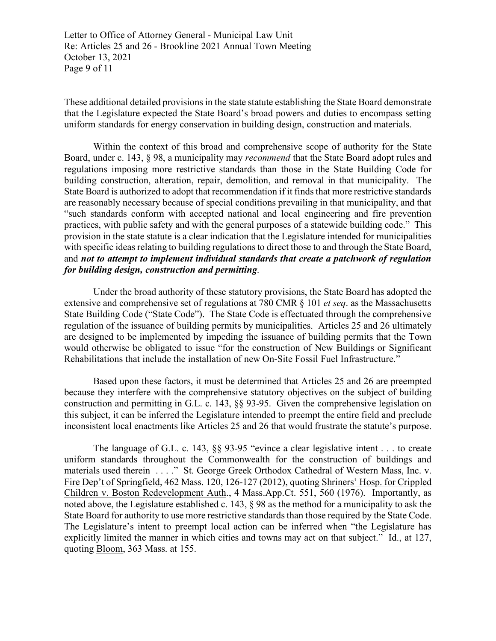Letter to Office of Attorney General - Municipal Law Unit Re: Articles 25 and 26 - Brookline 2021 Annual Town Meeting October 13, 2021 Page 9 of 11

These additional detailed provisions in the state statute establishing the State Board demonstrate that the Legislature expected the State Board's broad powers and duties to encompass setting uniform standards for energy conservation in building design, construction and materials.

Within the context of this broad and comprehensive scope of authority for the State Board, under c. 143, § 98, a municipality may *recommend* that the State Board adopt rules and regulations imposing more restrictive standards than those in the State Building Code for building construction, alteration, repair, demolition, and removal in that municipality. The State Board is authorized to adopt that recommendation if it finds that more restrictive standards are reasonably necessary because of special conditions prevailing in that municipality, and that "such standards conform with accepted national and local engineering and fire prevention practices, with public safety and with the general purposes of a statewide building code." This provision in the state statute is a clear indication that the Legislature intended for municipalities with specific ideas relating to building regulations to direct those to and through the State Board, and *not to attempt to implement individual standards that create a patchwork of regulation for building design, construction and permitting*.

Under the broad authority of these statutory provisions, the State Board has adopted the extensive and comprehensive set of regulations at 780 CMR § 101 *et seq*. as the Massachusetts State Building Code ("State Code"). The State Code is effectuated through the comprehensive regulation of the issuance of building permits by municipalities. Articles 25 and 26 ultimately are designed to be implemented by impeding the issuance of building permits that the Town would otherwise be obligated to issue "for the construction of New Buildings or Significant Rehabilitations that include the installation of new On-Site Fossil Fuel Infrastructure."

Based upon these factors, it must be determined that Articles 25 and 26 are preempted because they interfere with the comprehensive statutory objectives on the subject of building construction and permitting in G.L. c. 143, §§ 93-95. Given the comprehensive legislation on this subject, it can be inferred the Legislature intended to preempt the entire field and preclude inconsistent local enactments like Articles 25 and 26 that would frustrate the statute's purpose.

The language of G.L. c. 143, §§ 93-95 "evince a clear legislative intent . . . to create uniform standards throughout the Commonwealth for the construction of buildings and materials used therein . . . ." St. George Greek Orthodox Cathedral of Western Mass, Inc. v. Fire Dep't of Springfield, 462 Mass. 120, 126-127 (2012), quoting Shriners' Hosp. for Crippled Children v. Boston Redevelopment Auth., 4 Mass.App.Ct. 551, 560 (1976). Importantly, as noted above, the Legislature established c. 143, § 98 as the method for a municipality to ask the State Board for authority to use more restrictive standards than those required by the State Code. The Legislature's intent to preempt local action can be inferred when "the Legislature has explicitly limited the manner in which cities and towns may act on that subject." Id., at 127, quoting Bloom, 363 Mass. at 155.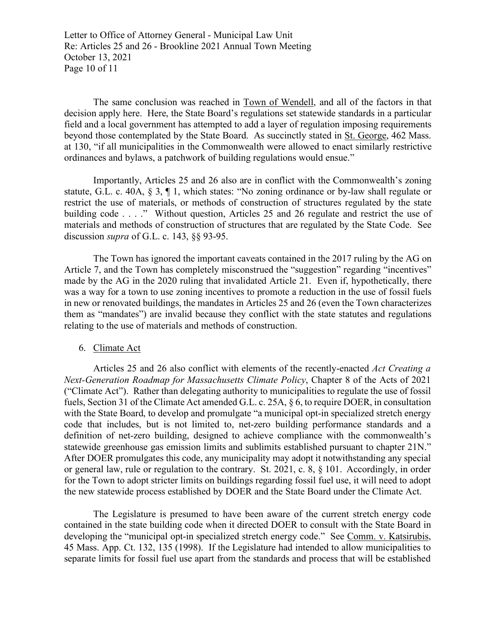Letter to Office of Attorney General - Municipal Law Unit Re: Articles 25 and 26 - Brookline 2021 Annual Town Meeting October 13, 2021 Page 10 of 11

The same conclusion was reached in Town of Wendell, and all of the factors in that decision apply here. Here, the State Board's regulations set statewide standards in a particular field and a local government has attempted to add a layer of regulation imposing requirements beyond those contemplated by the State Board. As succinctly stated in St. George, 462 Mass. at 130, "if all municipalities in the Commonwealth were allowed to enact similarly restrictive ordinances and bylaws, a patchwork of building regulations would ensue."

Importantly, Articles 25 and 26 also are in conflict with the Commonwealth's zoning statute, G.L. c. 40A, § 3, ¶ 1, which states: "No zoning ordinance or by-law shall regulate or restrict the use of materials, or methods of construction of structures regulated by the state building code . . . ." Without question, Articles 25 and 26 regulate and restrict the use of materials and methods of construction of structures that are regulated by the State Code. See discussion *supra* of G.L. c. 143, §§ 93-95.

The Town has ignored the important caveats contained in the 2017 ruling by the AG on Article 7, and the Town has completely misconstrued the "suggestion" regarding "incentives" made by the AG in the 2020 ruling that invalidated Article 21. Even if, hypothetically, there was a way for a town to use zoning incentives to promote a reduction in the use of fossil fuels in new or renovated buildings, the mandates in Articles 25 and 26 (even the Town characterizes them as "mandates") are invalid because they conflict with the state statutes and regulations relating to the use of materials and methods of construction.

## 6. Climate Act

Articles 25 and 26 also conflict with elements of the recently-enacted *Act Creating a Next-Generation Roadmap for Massachusetts Climate Policy*, Chapter 8 of the Acts of 2021 ("Climate Act"). Rather than delegating authority to municipalities to regulate the use of fossil fuels, Section 31 of the Climate Act amended G.L. c. 25A, § 6, to require DOER, in consultation with the State Board, to develop and promulgate "a municipal opt-in specialized stretch energy code that includes, but is not limited to, net-zero building performance standards and a definition of net-zero building, designed to achieve compliance with the commonwealth's statewide greenhouse gas emission limits and sublimits established pursuant to chapter 21N." After DOER promulgates this code, any municipality may adopt it notwithstanding any special or general law, rule or regulation to the contrary. St. 2021, c. 8, § 101. Accordingly, in order for the Town to adopt stricter limits on buildings regarding fossil fuel use, it will need to adopt the new statewide process established by DOER and the State Board under the Climate Act.

The Legislature is presumed to have been aware of the current stretch energy code contained in the state building code when it directed DOER to consult with the State Board in developing the "municipal opt-in specialized stretch energy code." See Comm. v. Katsirubis, 45 Mass. App. Ct. 132, 135 (1998). If the Legislature had intended to allow municipalities to separate limits for fossil fuel use apart from the standards and process that will be established